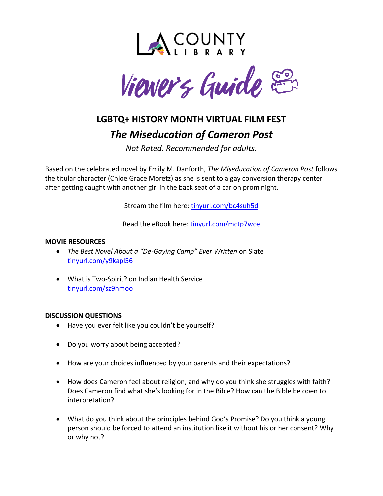



# **LGBTQ+ HISTORY MONTH VIRTUAL FILM FEST** *The Miseducation of Cameron Post*

*Not Rated. Recommended for adults.*

Based on the celebrated novel by Emily M. Danforth, *The Miseducation of Cameron Post* follows the titular character (Chloe Grace Moretz) as she is sent to a gay conversion therapy center after getting caught with another girl in the back seat of a car on prom night.

Stream the film here: [tinyurl.com/bc4suh5d](http://tinyurl.com/bc4suh5d)

Read the eBook here: [tinyurl.com/mctp7wce](http://tinyurl.com/mctp7wce)

## **MOVIE RESOURCES**

- *The Best Novel About a "De-Gaying Camp" Ever Written* on Slate [tinyurl.com/y9kapl56](https://tinyurl.com/y9kapl56)
- What is Two-Spirit? on Indian Health Service [tinyurl.com/sz9hmoo](https://tinyurl.com/sz9hmoo)

## **DISCUSSION QUESTIONS**

- Have you ever felt like you couldn't be yourself?
- Do you worry about being accepted?
- How are your choices influenced by your parents and their expectations?
- How does Cameron feel about religion, and why do you think she struggles with faith? Does Cameron find what she's looking for in the Bible? How can the Bible be open to interpretation?
- What do you think about the principles behind God's Promise? Do you think a young person should be forced to attend an institution like it without his or her consent? Why or why not?